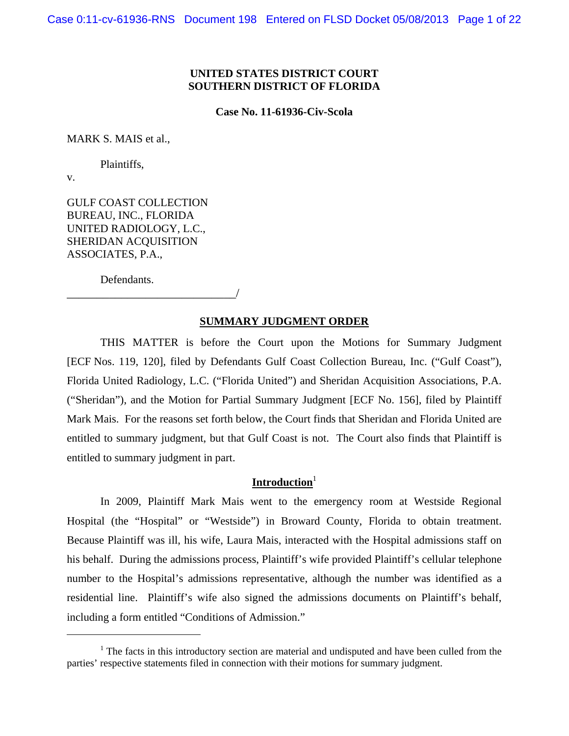### **UNITED STATES DISTRICT COURT SOUTHERN DISTRICT OF FLORIDA**

**Case No. 11-61936-Civ-Scola** 

MARK S. MAIS et al.,

Plaintiffs,

v.

 $\overline{a}$ 

GULF COAST COLLECTION BUREAU, INC., FLORIDA UNITED RADIOLOGY, L.C., SHERIDAN ACQUISITION ASSOCIATES, P.A.,

\_\_\_\_\_\_\_\_\_\_\_\_\_\_\_\_\_\_\_\_\_\_\_\_\_\_\_\_/

Defendants.

### **SUMMARY JUDGMENT ORDER**

THIS MATTER is before the Court upon the Motions for Summary Judgment [ECF Nos. 119, 120], filed by Defendants Gulf Coast Collection Bureau, Inc. ("Gulf Coast"), Florida United Radiology, L.C. ("Florida United") and Sheridan Acquisition Associations, P.A. ("Sheridan"), and the Motion for Partial Summary Judgment [ECF No. 156], filed by Plaintiff Mark Mais. For the reasons set forth below, the Court finds that Sheridan and Florida United are entitled to summary judgment, but that Gulf Coast is not. The Court also finds that Plaintiff is entitled to summary judgment in part.

## Introduction<sup>1</sup>

In 2009, Plaintiff Mark Mais went to the emergency room at Westside Regional Hospital (the "Hospital" or "Westside") in Broward County, Florida to obtain treatment. Because Plaintiff was ill, his wife, Laura Mais, interacted with the Hospital admissions staff on his behalf. During the admissions process, Plaintiff's wife provided Plaintiff's cellular telephone number to the Hospital's admissions representative, although the number was identified as a residential line. Plaintiff's wife also signed the admissions documents on Plaintiff's behalf, including a form entitled "Conditions of Admission."

 $1$ <sup>1</sup> The facts in this introductory section are material and undisputed and have been culled from the parties' respective statements filed in connection with their motions for summary judgment.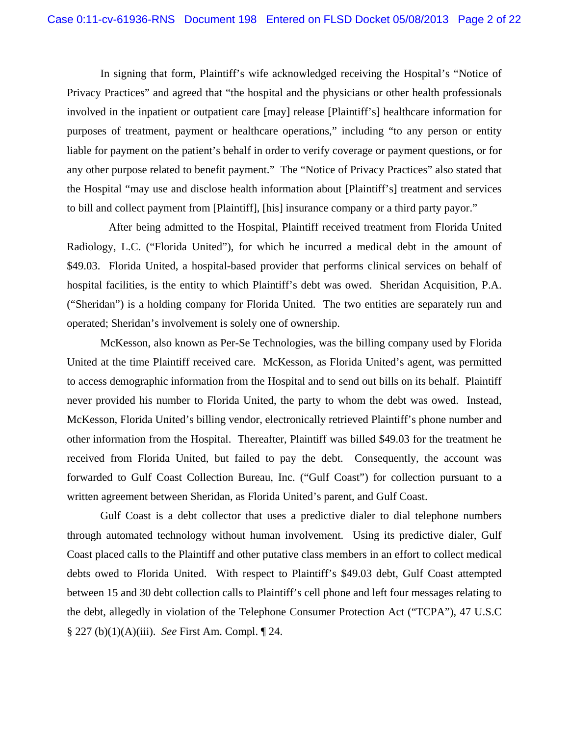In signing that form, Plaintiff's wife acknowledged receiving the Hospital's "Notice of Privacy Practices" and agreed that "the hospital and the physicians or other health professionals involved in the inpatient or outpatient care [may] release [Plaintiff's] healthcare information for purposes of treatment, payment or healthcare operations," including "to any person or entity liable for payment on the patient's behalf in order to verify coverage or payment questions, or for any other purpose related to benefit payment." The "Notice of Privacy Practices" also stated that the Hospital "may use and disclose health information about [Plaintiff's] treatment and services to bill and collect payment from [Plaintiff], [his] insurance company or a third party payor."

 After being admitted to the Hospital, Plaintiff received treatment from Florida United Radiology, L.C. ("Florida United"), for which he incurred a medical debt in the amount of \$49.03. Florida United, a hospital-based provider that performs clinical services on behalf of hospital facilities, is the entity to which Plaintiff's debt was owed. Sheridan Acquisition, P.A. ("Sheridan") is a holding company for Florida United. The two entities are separately run and operated; Sheridan's involvement is solely one of ownership.

McKesson, also known as Per-Se Technologies, was the billing company used by Florida United at the time Plaintiff received care. McKesson, as Florida United's agent, was permitted to access demographic information from the Hospital and to send out bills on its behalf. Plaintiff never provided his number to Florida United, the party to whom the debt was owed. Instead, McKesson, Florida United's billing vendor, electronically retrieved Plaintiff's phone number and other information from the Hospital. Thereafter, Plaintiff was billed \$49.03 for the treatment he received from Florida United, but failed to pay the debt. Consequently, the account was forwarded to Gulf Coast Collection Bureau, Inc. ("Gulf Coast") for collection pursuant to a written agreement between Sheridan, as Florida United's parent, and Gulf Coast.

Gulf Coast is a debt collector that uses a predictive dialer to dial telephone numbers through automated technology without human involvement. Using its predictive dialer, Gulf Coast placed calls to the Plaintiff and other putative class members in an effort to collect medical debts owed to Florida United. With respect to Plaintiff's \$49.03 debt, Gulf Coast attempted between 15 and 30 debt collection calls to Plaintiff's cell phone and left four messages relating to the debt, allegedly in violation of the Telephone Consumer Protection Act ("TCPA"), 47 U.S.C § 227 (b)(1)(A)(iii). *See* First Am. Compl. ¶ 24.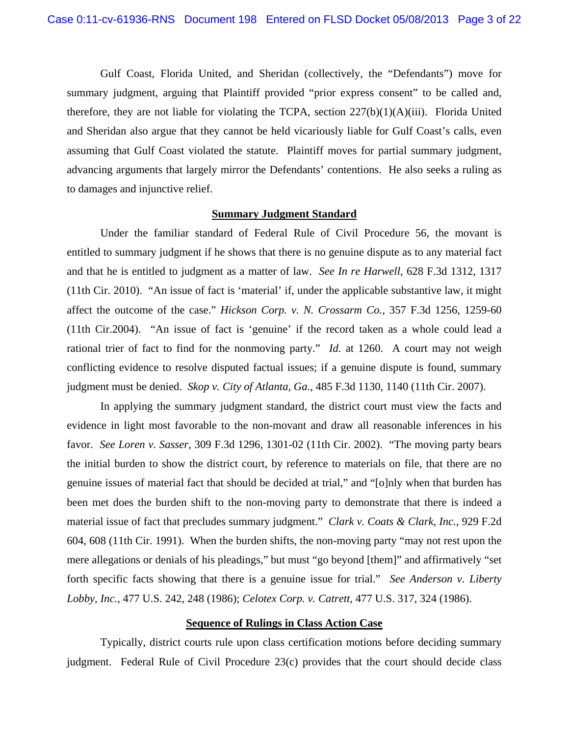Gulf Coast, Florida United, and Sheridan (collectively, the "Defendants") move for summary judgment, arguing that Plaintiff provided "prior express consent" to be called and, therefore, they are not liable for violating the TCPA, section 227(b)(1)(A)(iii). Florida United and Sheridan also argue that they cannot be held vicariously liable for Gulf Coast's calls, even assuming that Gulf Coast violated the statute. Plaintiff moves for partial summary judgment, advancing arguments that largely mirror the Defendants' contentions. He also seeks a ruling as to damages and injunctive relief.

#### **Summary Judgment Standard**

Under the familiar standard of Federal Rule of Civil Procedure 56, the movant is entitled to summary judgment if he shows that there is no genuine dispute as to any material fact and that he is entitled to judgment as a matter of law. *See In re Harwell*, 628 F.3d 1312, 1317 (11th Cir. 2010). "An issue of fact is 'material' if, under the applicable substantive law, it might affect the outcome of the case." *Hickson Corp. v. N. Crossarm Co.*, 357 F.3d 1256, 1259-60 (11th Cir.2004). "An issue of fact is 'genuine' if the record taken as a whole could lead a rational trier of fact to find for the nonmoving party." *Id.* at 1260. A court may not weigh conflicting evidence to resolve disputed factual issues; if a genuine dispute is found, summary judgment must be denied. *Skop v. City of Atlanta, Ga.*, 485 F.3d 1130, 1140 (11th Cir. 2007).

In applying the summary judgment standard, the district court must view the facts and evidence in light most favorable to the non-movant and draw all reasonable inferences in his favor. *See Loren v. Sasser*, 309 F.3d 1296, 1301-02 (11th Cir. 2002). "The moving party bears the initial burden to show the district court, by reference to materials on file, that there are no genuine issues of material fact that should be decided at trial," and "[o]nly when that burden has been met does the burden shift to the non-moving party to demonstrate that there is indeed a material issue of fact that precludes summary judgment." *Clark v. Coats & Clark, Inc.*, 929 F.2d 604, 608 (11th Cir. 1991). When the burden shifts, the non-moving party "may not rest upon the mere allegations or denials of his pleadings," but must "go beyond [them]" and affirmatively "set forth specific facts showing that there is a genuine issue for trial." *See Anderson v. Liberty Lobby, Inc.*, 477 U.S. 242, 248 (1986); *Celotex Corp. v. Catrett,* 477 U.S. 317, 324 (1986).

### **Sequence of Rulings in Class Action Case**

Typically, district courts rule upon class certification motions before deciding summary judgment. Federal Rule of Civil Procedure 23(c) provides that the court should decide class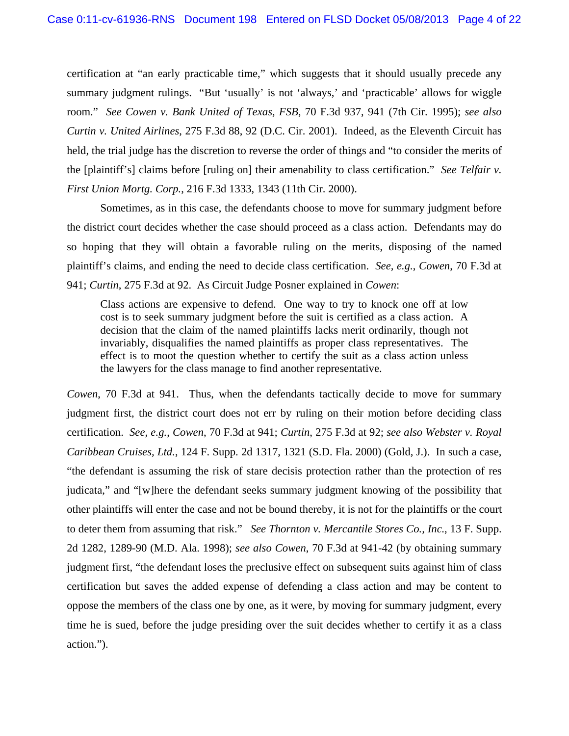certification at "an early practicable time," which suggests that it should usually precede any summary judgment rulings. "But 'usually' is not 'always,' and 'practicable' allows for wiggle room." *See Cowen v. Bank United of Texas, FSB*, 70 F.3d 937, 941 (7th Cir. 1995); *see also Curtin v. United Airlines*, 275 F.3d 88, 92 (D.C. Cir. 2001). Indeed, as the Eleventh Circuit has held, the trial judge has the discretion to reverse the order of things and "to consider the merits of the [plaintiff's] claims before [ruling on] their amenability to class certification." *See Telfair v. First Union Mortg. Corp.*, 216 F.3d 1333, 1343 (11th Cir. 2000).

Sometimes, as in this case, the defendants choose to move for summary judgment before the district court decides whether the case should proceed as a class action. Defendants may do so hoping that they will obtain a favorable ruling on the merits, disposing of the named plaintiff's claims, and ending the need to decide class certification. *See, e.g.*, *Cowen*, 70 F.3d at 941; *Curtin*, 275 F.3d at 92. As Circuit Judge Posner explained in *Cowen*:

Class actions are expensive to defend. One way to try to knock one off at low cost is to seek summary judgment before the suit is certified as a class action. A decision that the claim of the named plaintiffs lacks merit ordinarily, though not invariably, disqualifies the named plaintiffs as proper class representatives. The effect is to moot the question whether to certify the suit as a class action unless the lawyers for the class manage to find another representative.

*Cowen*, 70 F.3d at 941. Thus, when the defendants tactically decide to move for summary judgment first, the district court does not err by ruling on their motion before deciding class certification. *See, e.g.*, *Cowen*, 70 F.3d at 941; *Curtin*, 275 F.3d at 92; *see also Webster v. Royal Caribbean Cruises, Ltd.*, 124 F. Supp. 2d 1317, 1321 (S.D. Fla. 2000) (Gold, J.). In such a case, "the defendant is assuming the risk of stare decisis protection rather than the protection of res judicata," and "[w]here the defendant seeks summary judgment knowing of the possibility that other plaintiffs will enter the case and not be bound thereby, it is not for the plaintiffs or the court to deter them from assuming that risk." *See Thornton v. Mercantile Stores Co., Inc.*, 13 F. Supp. 2d 1282, 1289-90 (M.D. Ala. 1998); *see also Cowen*, 70 F.3d at 941-42 (by obtaining summary judgment first, "the defendant loses the preclusive effect on subsequent suits against him of class certification but saves the added expense of defending a class action and may be content to oppose the members of the class one by one, as it were, by moving for summary judgment, every time he is sued, before the judge presiding over the suit decides whether to certify it as a class action.").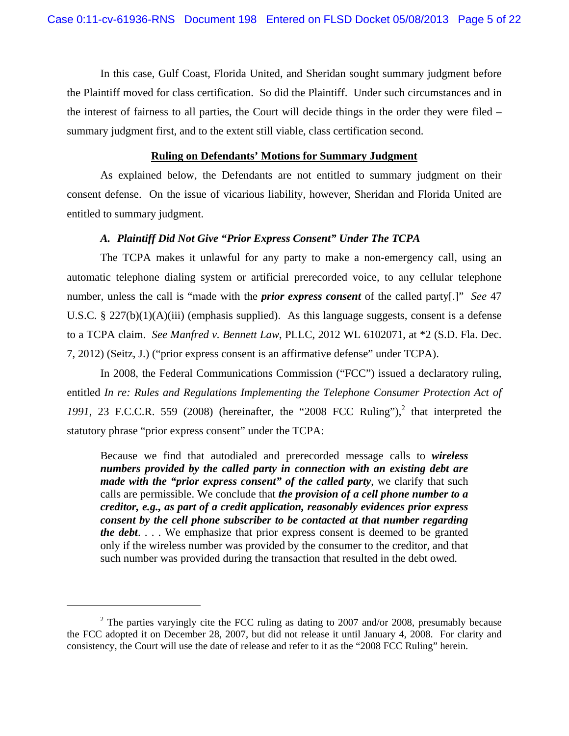In this case, Gulf Coast, Florida United, and Sheridan sought summary judgment before the Plaintiff moved for class certification. So did the Plaintiff. Under such circumstances and in the interest of fairness to all parties, the Court will decide things in the order they were filed – summary judgment first, and to the extent still viable, class certification second.

## **Ruling on Defendants' Motions for Summary Judgment**

As explained below, the Defendants are not entitled to summary judgment on their consent defense. On the issue of vicarious liability, however, Sheridan and Florida United are entitled to summary judgment.

#### *A. Plaintiff Did Not Give "Prior Express Consent" Under The TCPA*

The TCPA makes it unlawful for any party to make a non-emergency call, using an automatic telephone dialing system or artificial prerecorded voice, to any cellular telephone number, unless the call is "made with the *prior express consent* of the called party[.]" *See* 47 U.S.C. § 227(b)(1)(A)(iii) (emphasis supplied). As this language suggests, consent is a defense to a TCPA claim. *See Manfred v. Bennett Law*, PLLC, 2012 WL 6102071, at \*2 (S.D. Fla. Dec. 7, 2012) (Seitz, J.) ("prior express consent is an affirmative defense" under TCPA).

In 2008, the Federal Communications Commission ("FCC") issued a declaratory ruling, entitled *In re: Rules and Regulations Implementing the Telephone Consumer Protection Act of*  1991, 23 F.C.C.R. 559 (2008) (hereinafter, the "2008 FCC Ruling"),<sup>2</sup> that interpreted the statutory phrase "prior express consent" under the TCPA:

Because we find that autodialed and prerecorded message calls to *wireless numbers provided by the called party in connection with an existing debt are made with the "prior express consent" of the called party, we clarify that such* calls are permissible. We conclude that *the provision of a cell phone number to a creditor, e.g., as part of a credit application, reasonably evidences prior express consent by the cell phone subscriber to be contacted at that number regarding the debt*. . . . We emphasize that prior express consent is deemed to be granted only if the wireless number was provided by the consumer to the creditor, and that such number was provided during the transaction that resulted in the debt owed.

 $\overline{a}$ 

 $2$  The parties varyingly cite the FCC ruling as dating to 2007 and/or 2008, presumably because the FCC adopted it on December 28, 2007, but did not release it until January 4, 2008. For clarity and consistency, the Court will use the date of release and refer to it as the "2008 FCC Ruling" herein.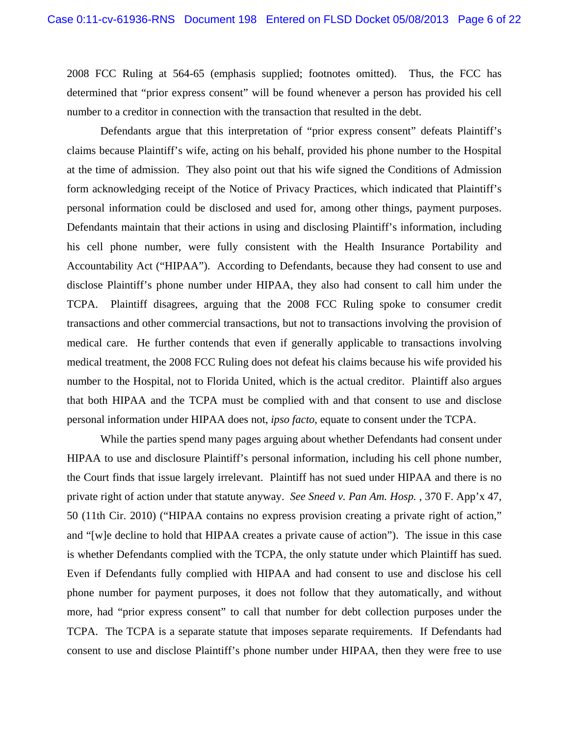2008 FCC Ruling at 564-65 (emphasis supplied; footnotes omitted). Thus, the FCC has determined that "prior express consent" will be found whenever a person has provided his cell number to a creditor in connection with the transaction that resulted in the debt.

 Defendants argue that this interpretation of "prior express consent" defeats Plaintiff's claims because Plaintiff's wife, acting on his behalf, provided his phone number to the Hospital at the time of admission. They also point out that his wife signed the Conditions of Admission form acknowledging receipt of the Notice of Privacy Practices, which indicated that Plaintiff's personal information could be disclosed and used for, among other things, payment purposes. Defendants maintain that their actions in using and disclosing Plaintiff's information, including his cell phone number, were fully consistent with the Health Insurance Portability and Accountability Act ("HIPAA"). According to Defendants, because they had consent to use and disclose Plaintiff's phone number under HIPAA, they also had consent to call him under the TCPA. Plaintiff disagrees, arguing that the 2008 FCC Ruling spoke to consumer credit transactions and other commercial transactions, but not to transactions involving the provision of medical care. He further contends that even if generally applicable to transactions involving medical treatment, the 2008 FCC Ruling does not defeat his claims because his wife provided his number to the Hospital, not to Florida United, which is the actual creditor. Plaintiff also argues that both HIPAA and the TCPA must be complied with and that consent to use and disclose personal information under HIPAA does not, *ipso facto*, equate to consent under the TCPA.

 While the parties spend many pages arguing about whether Defendants had consent under HIPAA to use and disclosure Plaintiff's personal information, including his cell phone number, the Court finds that issue largely irrelevant. Plaintiff has not sued under HIPAA and there is no private right of action under that statute anyway. *See Sneed v. Pan Am. Hosp.* , 370 F. App'x 47, 50 (11th Cir. 2010) ("HIPAA contains no express provision creating a private right of action," and "[w]e decline to hold that HIPAA creates a private cause of action"). The issue in this case is whether Defendants complied with the TCPA, the only statute under which Plaintiff has sued. Even if Defendants fully complied with HIPAA and had consent to use and disclose his cell phone number for payment purposes, it does not follow that they automatically, and without more, had "prior express consent" to call that number for debt collection purposes under the TCPA. The TCPA is a separate statute that imposes separate requirements. If Defendants had consent to use and disclose Plaintiff's phone number under HIPAA, then they were free to use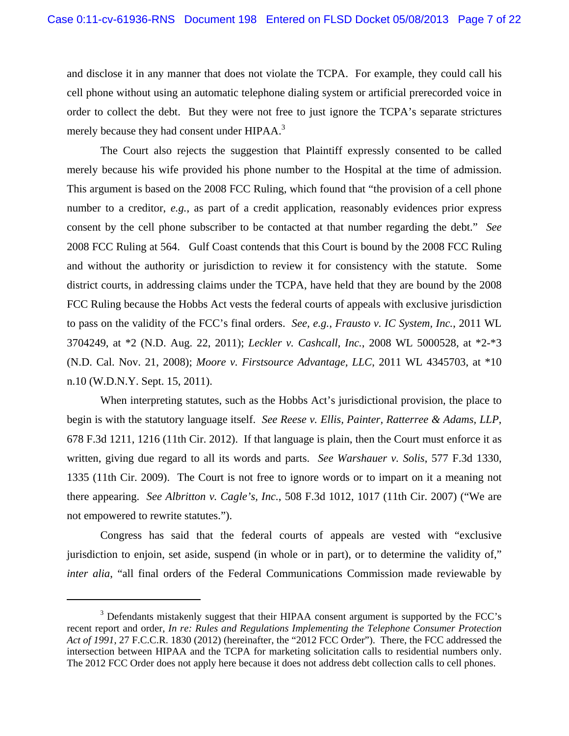and disclose it in any manner that does not violate the TCPA. For example, they could call his cell phone without using an automatic telephone dialing system or artificial prerecorded voice in order to collect the debt. But they were not free to just ignore the TCPA's separate strictures merely because they had consent under HIPAA.<sup>3</sup>

 The Court also rejects the suggestion that Plaintiff expressly consented to be called merely because his wife provided his phone number to the Hospital at the time of admission. This argument is based on the 2008 FCC Ruling, which found that "the provision of a cell phone number to a creditor, *e.g.*, as part of a credit application, reasonably evidences prior express consent by the cell phone subscriber to be contacted at that number regarding the debt." *See* 2008 FCC Ruling at 564. Gulf Coast contends that this Court is bound by the 2008 FCC Ruling and without the authority or jurisdiction to review it for consistency with the statute. Some district courts, in addressing claims under the TCPA, have held that they are bound by the 2008 FCC Ruling because the Hobbs Act vests the federal courts of appeals with exclusive jurisdiction to pass on the validity of the FCC's final orders. *See, e.g.*, *Frausto v. IC System, Inc.*, 2011 WL 3704249, at \*2 (N.D. Aug. 22, 2011); *Leckler v. Cashcall, Inc.*, 2008 WL 5000528, at \*2-\*3 (N.D. Cal. Nov. 21, 2008); *Moore v. Firstsource Advantage, LLC*, 2011 WL 4345703, at \*10 n.10 (W.D.N.Y. Sept. 15, 2011).

When interpreting statutes, such as the Hobbs Act's jurisdictional provision, the place to begin is with the statutory language itself. *See Reese v. Ellis, Painter, Ratterree & Adams, LLP*, 678 F.3d 1211, 1216 (11th Cir. 2012). If that language is plain, then the Court must enforce it as written, giving due regard to all its words and parts. *See Warshauer v. Solis*, 577 F.3d 1330, 1335 (11th Cir. 2009). The Court is not free to ignore words or to impart on it a meaning not there appearing. *See Albritton v. Cagle's, Inc.*, 508 F.3d 1012, 1017 (11th Cir. 2007) ("We are not empowered to rewrite statutes.").

Congress has said that the federal courts of appeals are vested with "exclusive jurisdiction to enjoin, set aside, suspend (in whole or in part), or to determine the validity of," *inter alia*, "all final orders of the Federal Communications Commission made reviewable by

<u>.</u>

 $3$  Defendants mistakenly suggest that their HIPAA consent argument is supported by the FCC's recent report and order, *In re: Rules and Regulations Implementing the Telephone Consumer Protection Act of 1991*, 27 F.C.C.R. 1830 (2012) (hereinafter, the "2012 FCC Order"). There, the FCC addressed the intersection between HIPAA and the TCPA for marketing solicitation calls to residential numbers only. The 2012 FCC Order does not apply here because it does not address debt collection calls to cell phones.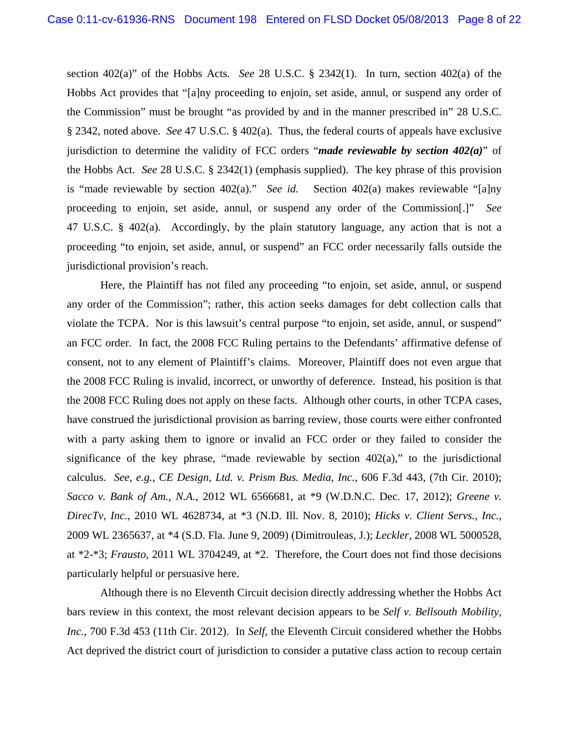section 402(a)" of the Hobbs Acts. *See* 28 U.S.C. § 2342(1). In turn, section 402(a) of the Hobbs Act provides that "[a]ny proceeding to enjoin, set aside, annul, or suspend any order of the Commission" must be brought "as provided by and in the manner prescribed in" 28 U.S.C. § 2342, noted above. *See* 47 U.S.C. § 402(a). Thus, the federal courts of appeals have exclusive jurisdiction to determine the validity of FCC orders "*made reviewable by section 402(a)*" of the Hobbs Act. *See* 28 U.S.C. § 2342(1) (emphasis supplied). The key phrase of this provision is "made reviewable by section 402(a)." *See id.* Section 402(a) makes reviewable "[a]ny proceeding to enjoin, set aside, annul, or suspend any order of the Commission[.]" *See* 47 U.S.C. § 402(a). Accordingly, by the plain statutory language, any action that is not a proceeding "to enjoin, set aside, annul, or suspend" an FCC order necessarily falls outside the jurisdictional provision's reach.

Here, the Plaintiff has not filed any proceeding "to enjoin, set aside, annul, or suspend any order of the Commission"; rather, this action seeks damages for debt collection calls that violate the TCPA. Nor is this lawsuit's central purpose "to enjoin, set aside, annul, or suspend" an FCC order. In fact, the 2008 FCC Ruling pertains to the Defendants' affirmative defense of consent, not to any element of Plaintiff's claims. Moreover, Plaintiff does not even argue that the 2008 FCC Ruling is invalid, incorrect, or unworthy of deference. Instead, his position is that the 2008 FCC Ruling does not apply on these facts. Although other courts, in other TCPA cases, have construed the jurisdictional provision as barring review, those courts were either confronted with a party asking them to ignore or invalid an FCC order or they failed to consider the significance of the key phrase, "made reviewable by section  $402(a)$ ," to the jurisdictional calculus. *See, e.g.*, *CE Design, Ltd. v. Prism Bus. Media, Inc.*, 606 F.3d 443, (7th Cir. 2010); *Sacco v. Bank of Am., N.A.*, 2012 WL 6566681, at \*9 (W.D.N.C. Dec. 17, 2012); *Greene v. DirecTv, Inc.*, 2010 WL 4628734, at \*3 (N.D. Ill. Nov. 8, 2010); *Hicks v. Client Servs., Inc.*, 2009 WL 2365637, at \*4 (S.D. Fla. June 9, 2009) (Dimitrouleas, J.); *Leckler*, 2008 WL 5000528, at \*2-\*3; *Frausto*, 2011 WL 3704249, at \*2. Therefore, the Court does not find those decisions particularly helpful or persuasive here.

Although there is no Eleventh Circuit decision directly addressing whether the Hobbs Act bars review in this context, the most relevant decision appears to be *Self v. Bellsouth Mobility, Inc.*, 700 F.3d 453 (11th Cir. 2012). In *Self*, the Eleventh Circuit considered whether the Hobbs Act deprived the district court of jurisdiction to consider a putative class action to recoup certain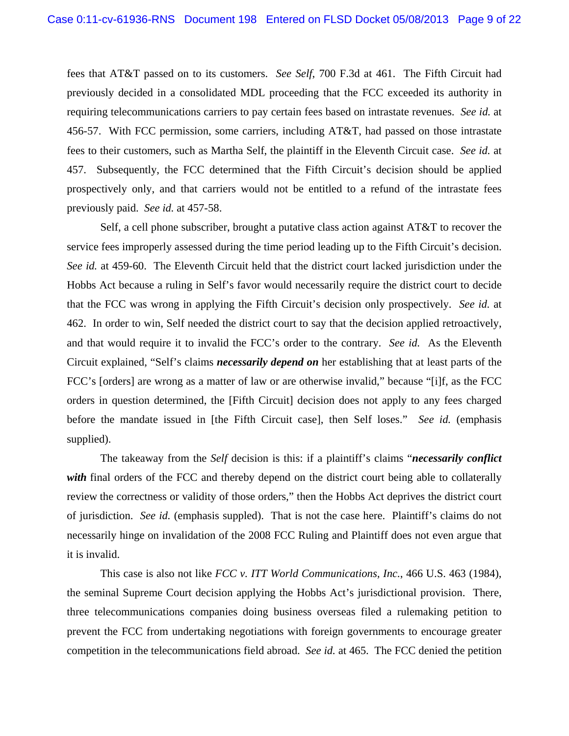fees that AT&T passed on to its customers. *See Self*, 700 F.3d at 461. The Fifth Circuit had previously decided in a consolidated MDL proceeding that the FCC exceeded its authority in requiring telecommunications carriers to pay certain fees based on intrastate revenues. *See id.* at 456-57. With FCC permission, some carriers, including AT&T, had passed on those intrastate fees to their customers, such as Martha Self, the plaintiff in the Eleventh Circuit case. *See id.* at 457. Subsequently, the FCC determined that the Fifth Circuit's decision should be applied prospectively only, and that carriers would not be entitled to a refund of the intrastate fees previously paid. *See id.* at 457-58.

Self, a cell phone subscriber, brought a putative class action against AT&T to recover the service fees improperly assessed during the time period leading up to the Fifth Circuit's decision. *See id.* at 459-60. The Eleventh Circuit held that the district court lacked jurisdiction under the Hobbs Act because a ruling in Self's favor would necessarily require the district court to decide that the FCC was wrong in applying the Fifth Circuit's decision only prospectively. *See id.* at 462. In order to win, Self needed the district court to say that the decision applied retroactively, and that would require it to invalid the FCC's order to the contrary. *See id.* As the Eleventh Circuit explained, "Self's claims *necessarily depend on* her establishing that at least parts of the FCC's [orders] are wrong as a matter of law or are otherwise invalid," because "[i]f, as the FCC orders in question determined, the [Fifth Circuit] decision does not apply to any fees charged before the mandate issued in [the Fifth Circuit case], then Self loses." *See id.* (emphasis supplied).

The takeaway from the *Self* decision is this: if a plaintiff's claims "*necessarily conflict*  with final orders of the FCC and thereby depend on the district court being able to collaterally review the correctness or validity of those orders," then the Hobbs Act deprives the district court of jurisdiction. *See id.* (emphasis suppled). That is not the case here. Plaintiff's claims do not necessarily hinge on invalidation of the 2008 FCC Ruling and Plaintiff does not even argue that it is invalid.

This case is also not like *FCC v. ITT World Communications, Inc.*, 466 U.S. 463 (1984), the seminal Supreme Court decision applying the Hobbs Act's jurisdictional provision. There, three telecommunications companies doing business overseas filed a rulemaking petition to prevent the FCC from undertaking negotiations with foreign governments to encourage greater competition in the telecommunications field abroad. *See id.* at 465. The FCC denied the petition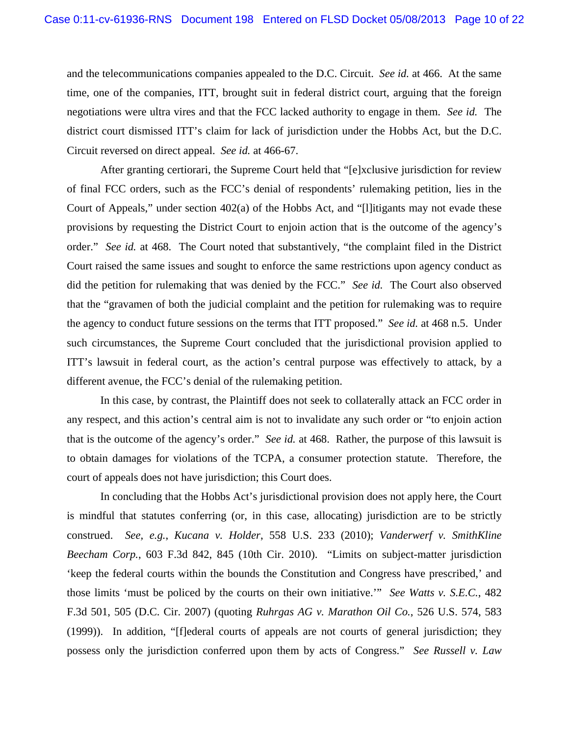and the telecommunications companies appealed to the D.C. Circuit. *See id.* at 466.At the same time, one of the companies, ITT, brought suit in federal district court, arguing that the foreign negotiations were ultra vires and that the FCC lacked authority to engage in them. *See id.* The district court dismissed ITT's claim for lack of jurisdiction under the Hobbs Act, but the D.C. Circuit reversed on direct appeal. *See id.* at 466-67.

After granting certiorari, the Supreme Court held that "[e]xclusive jurisdiction for review of final FCC orders, such as the FCC's denial of respondents' rulemaking petition, lies in the Court of Appeals," under section 402(a) of the Hobbs Act, and "[l]itigants may not evade these provisions by requesting the District Court to enjoin action that is the outcome of the agency's order." *See id.* at 468. The Court noted that substantively, "the complaint filed in the District Court raised the same issues and sought to enforce the same restrictions upon agency conduct as did the petition for rulemaking that was denied by the FCC." *See id.* The Court also observed that the "gravamen of both the judicial complaint and the petition for rulemaking was to require the agency to conduct future sessions on the terms that ITT proposed." *See id.* at 468 n.5. Under such circumstances, the Supreme Court concluded that the jurisdictional provision applied to ITT's lawsuit in federal court, as the action's central purpose was effectively to attack, by a different avenue, the FCC's denial of the rulemaking petition.

In this case, by contrast, the Plaintiff does not seek to collaterally attack an FCC order in any respect, and this action's central aim is not to invalidate any such order or "to enjoin action that is the outcome of the agency's order." *See id.* at 468. Rather, the purpose of this lawsuit is to obtain damages for violations of the TCPA, a consumer protection statute. Therefore, the court of appeals does not have jurisdiction; this Court does.

In concluding that the Hobbs Act's jurisdictional provision does not apply here, the Court is mindful that statutes conferring (or, in this case, allocating) jurisdiction are to be strictly construed. *See, e.g.*, *Kucana v. Holder*, 558 U.S. 233 (2010); *Vanderwerf v. SmithKline Beecham Corp.*, 603 F.3d 842, 845 (10th Cir. 2010). "Limits on subject-matter jurisdiction 'keep the federal courts within the bounds the Constitution and Congress have prescribed,' and those limits 'must be policed by the courts on their own initiative.'" *See Watts v. S.E.C.*, 482 F.3d 501, 505 (D.C. Cir. 2007) (quoting *Ruhrgas AG v. Marathon Oil Co.*, 526 U.S. 574, 583 (1999)). In addition, "[f]ederal courts of appeals are not courts of general jurisdiction; they possess only the jurisdiction conferred upon them by acts of Congress." *See Russell v. Law*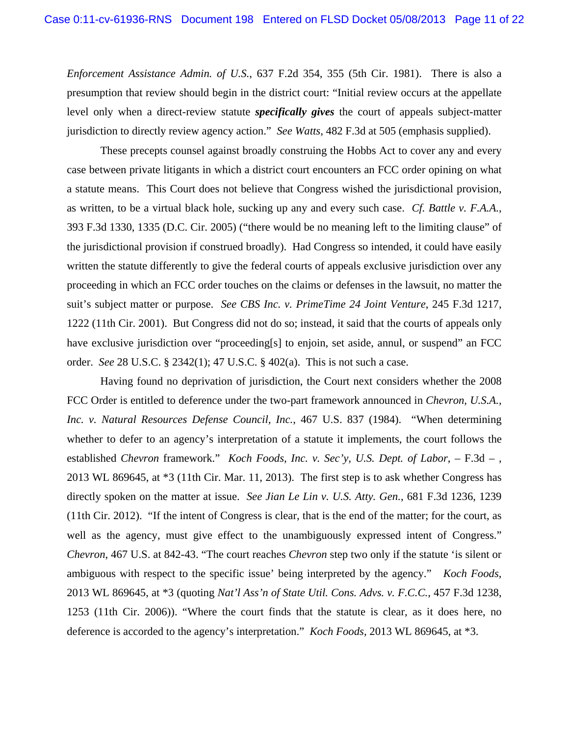*Enforcement Assistance Admin. of U.S.*, 637 F.2d 354, 355 (5th Cir. 1981). There is also a presumption that review should begin in the district court: "Initial review occurs at the appellate level only when a direct-review statute *specifically gives* the court of appeals subject-matter jurisdiction to directly review agency action." *See Watts*, 482 F.3d at 505 (emphasis supplied).

These precepts counsel against broadly construing the Hobbs Act to cover any and every case between private litigants in which a district court encounters an FCC order opining on what a statute means. This Court does not believe that Congress wished the jurisdictional provision, as written, to be a virtual black hole, sucking up any and every such case. *Cf. Battle v. F.A.A.*, 393 F.3d 1330, 1335 (D.C. Cir. 2005) ("there would be no meaning left to the limiting clause" of the jurisdictional provision if construed broadly). Had Congress so intended, it could have easily written the statute differently to give the federal courts of appeals exclusive jurisdiction over any proceeding in which an FCC order touches on the claims or defenses in the lawsuit, no matter the suit's subject matter or purpose. *See CBS Inc. v. PrimeTime 24 Joint Venture*, 245 F.3d 1217, 1222 (11th Cir. 2001). But Congress did not do so; instead, it said that the courts of appeals only have exclusive jurisdiction over "proceeding[s] to enjoin, set aside, annul, or suspend" an FCC order. *See* 28 U.S.C. § 2342(1); 47 U.S.C. § 402(a). This is not such a case.

Having found no deprivation of jurisdiction, the Court next considers whether the 2008 FCC Order is entitled to deference under the two-part framework announced in *Chevron, U.S.A., Inc. v. Natural Resources Defense Council, Inc.*, 467 U.S. 837 (1984). "When determining whether to defer to an agency's interpretation of a statute it implements, the court follows the established *Chevron* framework." *Koch Foods, Inc. v. Sec'y, U.S. Dept. of Labor*, – F.3d – , 2013 WL 869645, at \*3 (11th Cir. Mar. 11, 2013). The first step is to ask whether Congress has directly spoken on the matter at issue. *See Jian Le Lin v. U.S. Atty. Gen.*, 681 F.3d 1236, 1239 (11th Cir. 2012). "If the intent of Congress is clear, that is the end of the matter; for the court, as well as the agency, must give effect to the unambiguously expressed intent of Congress." *Chevron*, 467 U.S. at 842-43. "The court reaches *Chevron* step two only if the statute 'is silent or ambiguous with respect to the specific issue' being interpreted by the agency." *Koch Foods*, 2013 WL 869645, at \*3 (quoting *Nat'l Ass'n of State Util. Cons. Advs. v. F.C.C.*, 457 F.3d 1238, 1253 (11th Cir. 2006)). "Where the court finds that the statute is clear, as it does here, no deference is accorded to the agency's interpretation." *Koch Foods*, 2013 WL 869645, at \*3.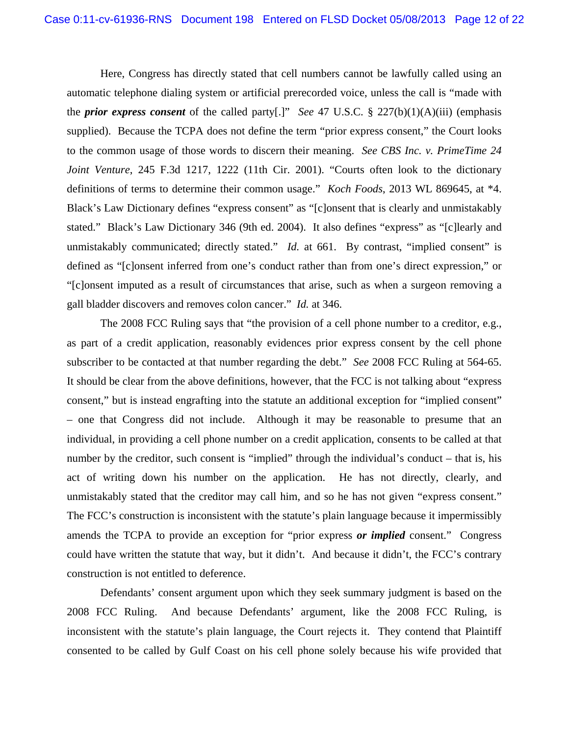Here, Congress has directly stated that cell numbers cannot be lawfully called using an automatic telephone dialing system or artificial prerecorded voice, unless the call is "made with the *prior express consent* of the called party[.]" *See* 47 U.S.C. § 227(b)(1)(A)(iii) (emphasis supplied). Because the TCPA does not define the term "prior express consent," the Court looks to the common usage of those words to discern their meaning. *See CBS Inc. v. PrimeTime 24 Joint Venture*, 245 F.3d 1217, 1222 (11th Cir. 2001). "Courts often look to the dictionary definitions of terms to determine their common usage." *Koch Foods*, 2013 WL 869645, at \*4. Black's Law Dictionary defines "express consent" as "[c]onsent that is clearly and unmistakably stated." Black's Law Dictionary 346 (9th ed. 2004). It also defines "express" as "[c]learly and unmistakably communicated; directly stated." *Id.* at 661. By contrast, "implied consent" is defined as "[c]onsent inferred from one's conduct rather than from one's direct expression," or "[c]onsent imputed as a result of circumstances that arise, such as when a surgeon removing a gall bladder discovers and removes colon cancer." *Id.* at 346.

The 2008 FCC Ruling says that "the provision of a cell phone number to a creditor, e.g., as part of a credit application, reasonably evidences prior express consent by the cell phone subscriber to be contacted at that number regarding the debt." *See* 2008 FCC Ruling at 564-65. It should be clear from the above definitions, however, that the FCC is not talking about "express consent," but is instead engrafting into the statute an additional exception for "implied consent" – one that Congress did not include. Although it may be reasonable to presume that an individual, in providing a cell phone number on a credit application, consents to be called at that number by the creditor, such consent is "implied" through the individual's conduct – that is, his act of writing down his number on the application. He has not directly, clearly, and unmistakably stated that the creditor may call him, and so he has not given "express consent." The FCC's construction is inconsistent with the statute's plain language because it impermissibly amends the TCPA to provide an exception for "prior express *or implied* consent." Congress could have written the statute that way, but it didn't. And because it didn't, the FCC's contrary construction is not entitled to deference.

Defendants' consent argument upon which they seek summary judgment is based on the 2008 FCC Ruling. And because Defendants' argument, like the 2008 FCC Ruling, is inconsistent with the statute's plain language, the Court rejects it. They contend that Plaintiff consented to be called by Gulf Coast on his cell phone solely because his wife provided that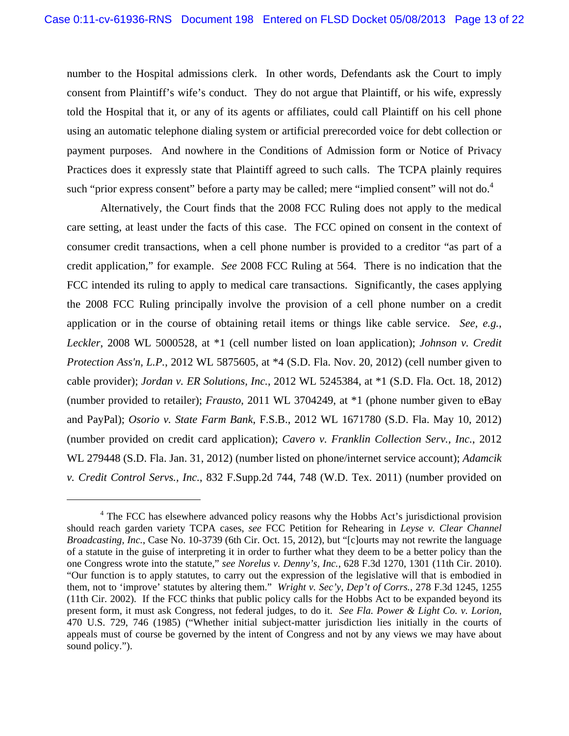number to the Hospital admissions clerk. In other words, Defendants ask the Court to imply consent from Plaintiff's wife's conduct. They do not argue that Plaintiff, or his wife, expressly told the Hospital that it, or any of its agents or affiliates, could call Plaintiff on his cell phone using an automatic telephone dialing system or artificial prerecorded voice for debt collection or payment purposes. And nowhere in the Conditions of Admission form or Notice of Privacy Practices does it expressly state that Plaintiff agreed to such calls. The TCPA plainly requires such "prior express consent" before a party may be called; mere "implied consent" will not do.<sup>4</sup>

Alternatively, the Court finds that the 2008 FCC Ruling does not apply to the medical care setting, at least under the facts of this case. The FCC opined on consent in the context of consumer credit transactions, when a cell phone number is provided to a creditor "as part of a credit application," for example. *See* 2008 FCC Ruling at 564. There is no indication that the FCC intended its ruling to apply to medical care transactions. Significantly, the cases applying the 2008 FCC Ruling principally involve the provision of a cell phone number on a credit application or in the course of obtaining retail items or things like cable service. *See, e.g.*, *Leckler*, 2008 WL 5000528, at \*1 (cell number listed on loan application); *Johnson v. Credit Protection Ass'n, L.P.*, 2012 WL 5875605, at \*4 (S.D. Fla. Nov. 20, 2012) (cell number given to cable provider); *Jordan v. ER Solutions, Inc.*, 2012 WL 5245384, at \*1 (S.D. Fla. Oct. 18, 2012) (number provided to retailer); *Frausto*, 2011 WL 3704249, at \*1 (phone number given to eBay and PayPal); *Osorio v. State Farm Bank*, F.S.B., 2012 WL 1671780 (S.D. Fla. May 10, 2012) (number provided on credit card application); *Cavero v. Franklin Collection Serv., Inc.*, 2012 WL 279448 (S.D. Fla. Jan. 31, 2012) (number listed on phone/internet service account); *Adamcik v. Credit Control Servs., Inc.*, 832 F.Supp.2d 744, 748 (W.D. Tex. 2011) (number provided on

1

<sup>&</sup>lt;sup>4</sup> The FCC has elsewhere advanced policy reasons why the Hobbs Act's jurisdictional provision should reach garden variety TCPA cases, *see* FCC Petition for Rehearing in *Leyse v. Clear Channel Broadcasting, Inc.*, Case No. 10-3739 (6th Cir. Oct. 15, 2012), but "[c]ourts may not rewrite the language of a statute in the guise of interpreting it in order to further what they deem to be a better policy than the one Congress wrote into the statute," *see Norelus v. Denny's, Inc.*, 628 F.3d 1270, 1301 (11th Cir. 2010). "Our function is to apply statutes, to carry out the expression of the legislative will that is embodied in them, not to 'improve' statutes by altering them." *Wright v. Sec'y, Dep't of Corrs.*, 278 F.3d 1245, 1255 (11th Cir. 2002). If the FCC thinks that public policy calls for the Hobbs Act to be expanded beyond its present form, it must ask Congress, not federal judges, to do it. *See Fla. Power & Light Co. v. Lorion*, 470 U.S. 729, 746 (1985) ("Whether initial subject-matter jurisdiction lies initially in the courts of appeals must of course be governed by the intent of Congress and not by any views we may have about sound policy.").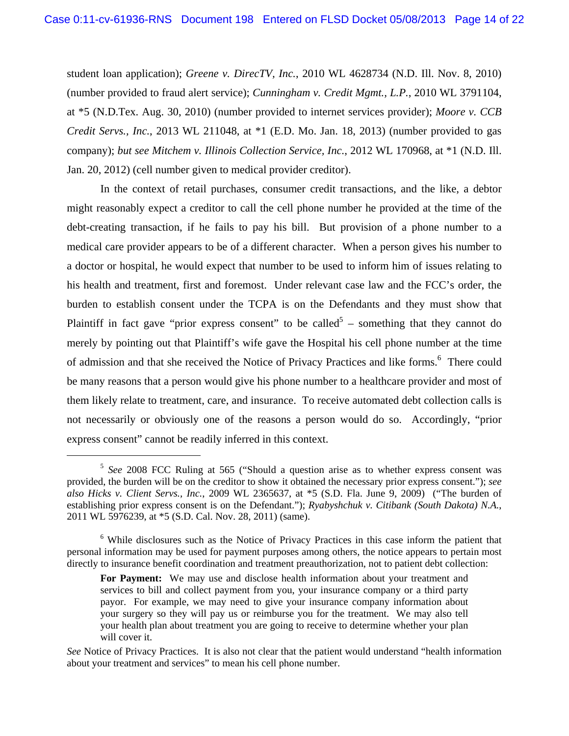student loan application); *Greene v. DirecTV, Inc.*, 2010 WL 4628734 (N.D. Ill. Nov. 8, 2010) (number provided to fraud alert service); *Cunningham v. Credit Mgmt., L.P.*, 2010 WL 3791104, at \*5 (N.D.Tex. Aug. 30, 2010) (number provided to internet services provider); *Moore v. CCB Credit Servs., Inc.*, 2013 WL 211048, at \*1 (E.D. Mo. Jan. 18, 2013) (number provided to gas company); *but see Mitchem v. Illinois Collection Service, Inc.*, 2012 WL 170968, at \*1 (N.D. Ill. Jan. 20, 2012) (cell number given to medical provider creditor).

In the context of retail purchases, consumer credit transactions, and the like, a debtor might reasonably expect a creditor to call the cell phone number he provided at the time of the debt-creating transaction, if he fails to pay his bill. But provision of a phone number to a medical care provider appears to be of a different character. When a person gives his number to a doctor or hospital, he would expect that number to be used to inform him of issues relating to his health and treatment, first and foremost. Under relevant case law and the FCC's order, the burden to establish consent under the TCPA is on the Defendants and they must show that Plaintiff in fact gave "prior express consent" to be called<sup>5</sup> – something that they cannot do merely by pointing out that Plaintiff's wife gave the Hospital his cell phone number at the time of admission and that she received the Notice of Privacy Practices and like forms.<sup>6</sup> There could be many reasons that a person would give his phone number to a healthcare provider and most of them likely relate to treatment, care, and insurance. To receive automated debt collection calls is not necessarily or obviously one of the reasons a person would do so. Accordingly, "prior express consent" cannot be readily inferred in this context.

 <sup>5</sup> *See* 2008 FCC Ruling at 565 ("Should a question arise as to whether express consent was provided, the burden will be on the creditor to show it obtained the necessary prior express consent."); *see also Hicks v. Client Servs., Inc.*, 2009 WL 2365637, at \*5 (S.D. Fla. June 9, 2009) ("The burden of establishing prior express consent is on the Defendant."); *Ryabyshchuk v. Citibank (South Dakota) N.A.*, 2011 WL 5976239, at \*5 (S.D. Cal. Nov. 28, 2011) (same).

<sup>&</sup>lt;sup>6</sup> While disclosures such as the Notice of Privacy Practices in this case inform the patient that personal information may be used for payment purposes among others, the notice appears to pertain most directly to insurance benefit coordination and treatment preauthorization, not to patient debt collection:

**For Payment:** We may use and disclose health information about your treatment and services to bill and collect payment from you, your insurance company or a third party payor. For example, we may need to give your insurance company information about your surgery so they will pay us or reimburse you for the treatment. We may also tell your health plan about treatment you are going to receive to determine whether your plan will cover it.

*See* Notice of Privacy Practices. It is also not clear that the patient would understand "health information about your treatment and services" to mean his cell phone number.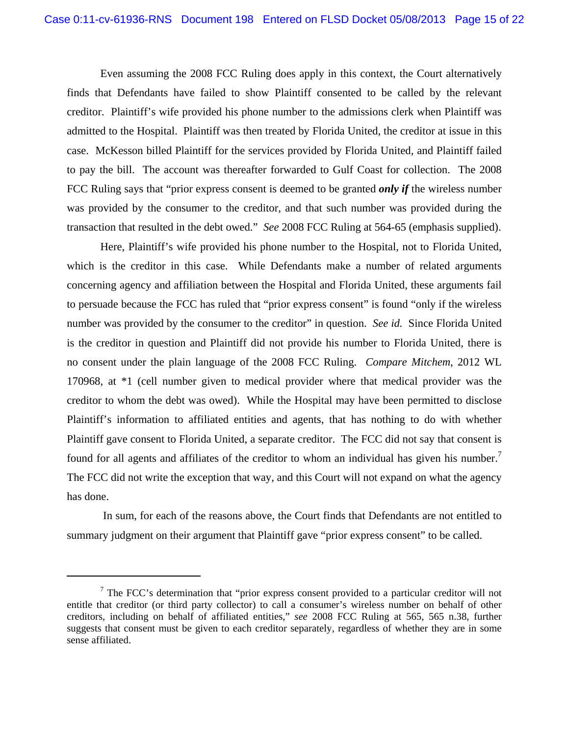Even assuming the 2008 FCC Ruling does apply in this context, the Court alternatively finds that Defendants have failed to show Plaintiff consented to be called by the relevant creditor. Plaintiff's wife provided his phone number to the admissions clerk when Plaintiff was admitted to the Hospital. Plaintiff was then treated by Florida United, the creditor at issue in this case. McKesson billed Plaintiff for the services provided by Florida United, and Plaintiff failed to pay the bill. The account was thereafter forwarded to Gulf Coast for collection. The 2008 FCC Ruling says that "prior express consent is deemed to be granted *only if* the wireless number was provided by the consumer to the creditor, and that such number was provided during the transaction that resulted in the debt owed." *See* 2008 FCC Ruling at 564-65 (emphasis supplied).

Here, Plaintiff's wife provided his phone number to the Hospital, not to Florida United, which is the creditor in this case. While Defendants make a number of related arguments concerning agency and affiliation between the Hospital and Florida United, these arguments fail to persuade because the FCC has ruled that "prior express consent" is found "only if the wireless number was provided by the consumer to the creditor" in question. *See id.* Since Florida United is the creditor in question and Plaintiff did not provide his number to Florida United, there is no consent under the plain language of the 2008 FCC Ruling. *Compare Mitchem*, 2012 WL 170968, at \*1 (cell number given to medical provider where that medical provider was the creditor to whom the debt was owed). While the Hospital may have been permitted to disclose Plaintiff's information to affiliated entities and agents, that has nothing to do with whether Plaintiff gave consent to Florida United, a separate creditor. The FCC did not say that consent is found for all agents and affiliates of the creditor to whom an individual has given his number.<sup>7</sup> The FCC did not write the exception that way, and this Court will not expand on what the agency has done.

 In sum, for each of the reasons above, the Court finds that Defendants are not entitled to summary judgment on their argument that Plaintiff gave "prior express consent" to be called.

1

 $7$  The FCC's determination that "prior express consent provided to a particular creditor will not entitle that creditor (or third party collector) to call a consumer's wireless number on behalf of other creditors, including on behalf of affiliated entities," *see* 2008 FCC Ruling at 565, 565 n.38, further suggests that consent must be given to each creditor separately, regardless of whether they are in some sense affiliated.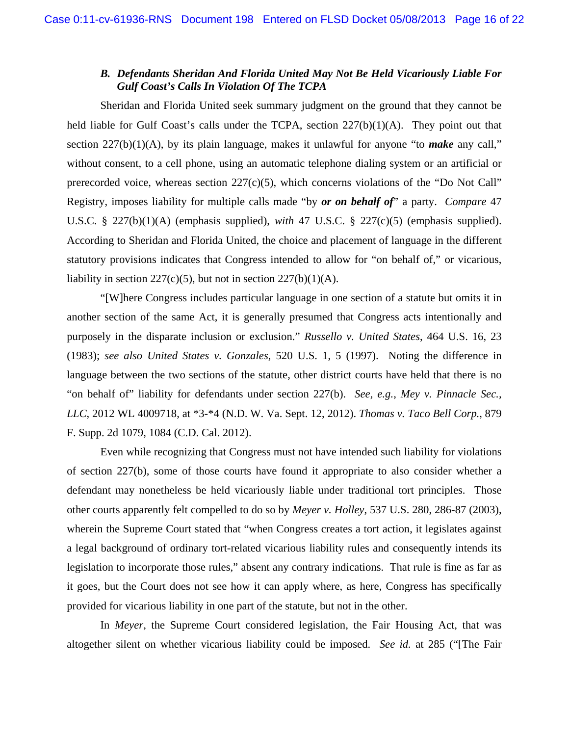# *B. Defendants Sheridan And Florida United May Not Be Held Vicariously Liable For Gulf Coast's Calls In Violation Of The TCPA*

Sheridan and Florida United seek summary judgment on the ground that they cannot be held liable for Gulf Coast's calls under the TCPA, section  $227(b)(1)(A)$ . They point out that section 227(b)(1)(A), by its plain language, makes it unlawful for anyone "to *make* any call," without consent, to a cell phone, using an automatic telephone dialing system or an artificial or prerecorded voice, whereas section  $227(c)(5)$ , which concerns violations of the "Do Not Call" Registry, imposes liability for multiple calls made "by *or on behalf of*" a party. *Compare* 47 U.S.C. § 227(b)(1)(A) (emphasis supplied), *with* 47 U.S.C. § 227(c)(5) (emphasis supplied). According to Sheridan and Florida United, the choice and placement of language in the different statutory provisions indicates that Congress intended to allow for "on behalf of," or vicarious, liability in section  $227(c)(5)$ , but not in section  $227(b)(1)(A)$ .

"[W]here Congress includes particular language in one section of a statute but omits it in another section of the same Act, it is generally presumed that Congress acts intentionally and purposely in the disparate inclusion or exclusion." *Russello v. United States*, 464 U.S. 16, 23 (1983); *see also United States v. Gonzales*, 520 U.S. 1, 5 (1997). Noting the difference in language between the two sections of the statute, other district courts have held that there is no "on behalf of" liability for defendants under section 227(b). *See, e.g.*, *Mey v. Pinnacle Sec., LLC*, 2012 WL 4009718, at \*3-\*4 (N.D. W. Va. Sept. 12, 2012). *Thomas v. Taco Bell Corp.*, 879 F. Supp. 2d 1079, 1084 (C.D. Cal. 2012).

Even while recognizing that Congress must not have intended such liability for violations of section 227(b), some of those courts have found it appropriate to also consider whether a defendant may nonetheless be held vicariously liable under traditional tort principles. Those other courts apparently felt compelled to do so by *Meyer v. Holley*, 537 U.S. 280, 286-87 (2003), wherein the Supreme Court stated that "when Congress creates a tort action, it legislates against a legal background of ordinary tort-related vicarious liability rules and consequently intends its legislation to incorporate those rules," absent any contrary indications. That rule is fine as far as it goes, but the Court does not see how it can apply where, as here, Congress has specifically provided for vicarious liability in one part of the statute, but not in the other.

In *Meyer*, the Supreme Court considered legislation, the Fair Housing Act, that was altogether silent on whether vicarious liability could be imposed. *See id.* at 285 ("[The Fair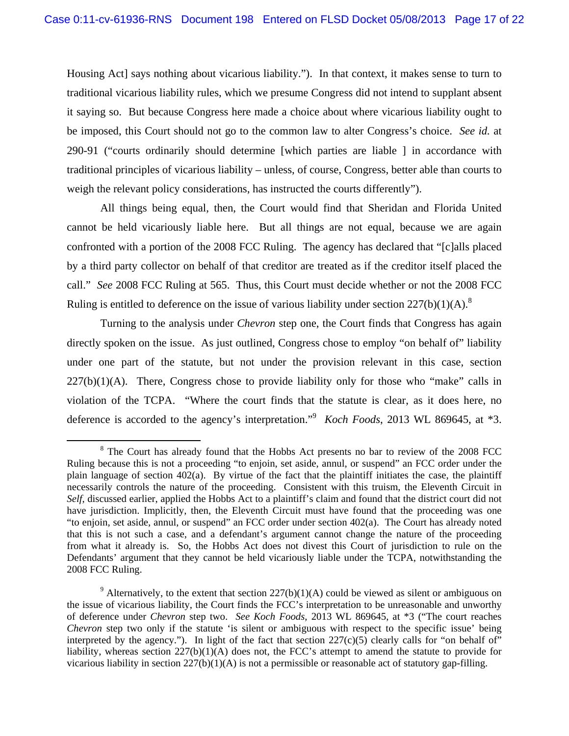Housing Act] says nothing about vicarious liability."). In that context, it makes sense to turn to traditional vicarious liability rules, which we presume Congress did not intend to supplant absent it saying so. But because Congress here made a choice about where vicarious liability ought to be imposed, this Court should not go to the common law to alter Congress's choice. *See id.* at 290-91 ("courts ordinarily should determine [which parties are liable ] in accordance with traditional principles of vicarious liability – unless, of course, Congress, better able than courts to weigh the relevant policy considerations, has instructed the courts differently").

All things being equal, then, the Court would find that Sheridan and Florida United cannot be held vicariously liable here. But all things are not equal, because we are again confronted with a portion of the 2008 FCC Ruling. The agency has declared that "[c]alls placed by a third party collector on behalf of that creditor are treated as if the creditor itself placed the call." *See* 2008 FCC Ruling at 565. Thus, this Court must decide whether or not the 2008 FCC Ruling is entitled to deference on the issue of various liability under section  $227(b)(1)(A)$ .<sup>8</sup>

Turning to the analysis under *Chevron* step one, the Court finds that Congress has again directly spoken on the issue. As just outlined, Congress chose to employ "on behalf of" liability under one part of the statute, but not under the provision relevant in this case, section  $227(b)(1)(A)$ . There, Congress chose to provide liability only for those who "make" calls in violation of the TCPA. "Where the court finds that the statute is clear, as it does here, no deference is accorded to the agency's interpretation."9 *Koch Foods*, 2013 WL 869645, at \*3.

 <sup>8</sup> The Court has already found that the Hobbs Act presents no bar to review of the 2008 FCC Ruling because this is not a proceeding "to enjoin, set aside, annul, or suspend" an FCC order under the plain language of section 402(a). By virtue of the fact that the plaintiff initiates the case, the plaintiff necessarily controls the nature of the proceeding. Consistent with this truism, the Eleventh Circuit in *Self*, discussed earlier, applied the Hobbs Act to a plaintiff's claim and found that the district court did not have jurisdiction. Implicitly, then, the Eleventh Circuit must have found that the proceeding was one "to enjoin, set aside, annul, or suspend" an FCC order under section 402(a). The Court has already noted that this is not such a case, and a defendant's argument cannot change the nature of the proceeding from what it already is. So, the Hobbs Act does not divest this Court of jurisdiction to rule on the Defendants' argument that they cannot be held vicariously liable under the TCPA, notwithstanding the 2008 FCC Ruling.

<sup>&</sup>lt;sup>9</sup> Alternatively, to the extent that section  $227(b)(1)(A)$  could be viewed as silent or ambiguous on the issue of vicarious liability, the Court finds the FCC's interpretation to be unreasonable and unworthy of deference under *Chevron* step two. *See Koch Foods*, 2013 WL 869645, at \*3 ("The court reaches *Chevron* step two only if the statute 'is silent or ambiguous with respect to the specific issue' being interpreted by the agency."). In light of the fact that section  $227(c)(5)$  clearly calls for "on behalf of" liability, whereas section  $227(b)(1)(A)$  does not, the FCC's attempt to amend the statute to provide for vicarious liability in section  $227(b)(1)(A)$  is not a permissible or reasonable act of statutory gap-filling.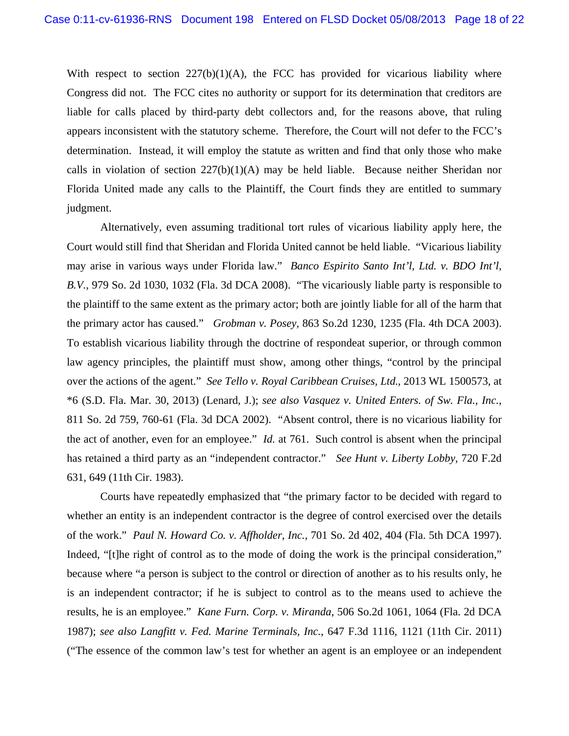With respect to section  $227(b)(1)(A)$ , the FCC has provided for vicarious liability where Congress did not. The FCC cites no authority or support for its determination that creditors are liable for calls placed by third-party debt collectors and, for the reasons above, that ruling appears inconsistent with the statutory scheme. Therefore, the Court will not defer to the FCC's determination. Instead, it will employ the statute as written and find that only those who make calls in violation of section  $227(b)(1)(A)$  may be held liable. Because neither Sheridan nor Florida United made any calls to the Plaintiff, the Court finds they are entitled to summary judgment.

Alternatively, even assuming traditional tort rules of vicarious liability apply here, the Court would still find that Sheridan and Florida United cannot be held liable. "Vicarious liability may arise in various ways under Florida law." *Banco Espirito Santo Int'l, Ltd. v. BDO Int'l, B.V.*, 979 So. 2d 1030, 1032 (Fla. 3d DCA 2008). "The vicariously liable party is responsible to the plaintiff to the same extent as the primary actor; both are jointly liable for all of the harm that the primary actor has caused." *Grobman v. Posey*, 863 So.2d 1230, 1235 (Fla. 4th DCA 2003). To establish vicarious liability through the doctrine of respondeat superior, or through common law agency principles, the plaintiff must show, among other things, "control by the principal over the actions of the agent." *See Tello v. Royal Caribbean Cruises, Ltd.*, 2013 WL 1500573, at \*6 (S.D. Fla. Mar. 30, 2013) (Lenard, J.); *see also Vasquez v. United Enters. of Sw. Fla., Inc.*, 811 So. 2d 759, 760-61 (Fla. 3d DCA 2002). "Absent control, there is no vicarious liability for the act of another, even for an employee." *Id.* at 761. Such control is absent when the principal has retained a third party as an "independent contractor." *See Hunt v. Liberty Lobby*, 720 F.2d 631, 649 (11th Cir. 1983).

Courts have repeatedly emphasized that "the primary factor to be decided with regard to whether an entity is an independent contractor is the degree of control exercised over the details of the work." *Paul N. Howard Co. v. Affholder, Inc.*, 701 So. 2d 402, 404 (Fla. 5th DCA 1997). Indeed, "[t]he right of control as to the mode of doing the work is the principal consideration," because where "a person is subject to the control or direction of another as to his results only, he is an independent contractor; if he is subject to control as to the means used to achieve the results, he is an employee." *Kane Furn. Corp. v. Miranda*, 506 So.2d 1061, 1064 (Fla. 2d DCA 1987); *see also Langfitt v. Fed. Marine Terminals, Inc.*, 647 F.3d 1116, 1121 (11th Cir. 2011) ("The essence of the common law's test for whether an agent is an employee or an independent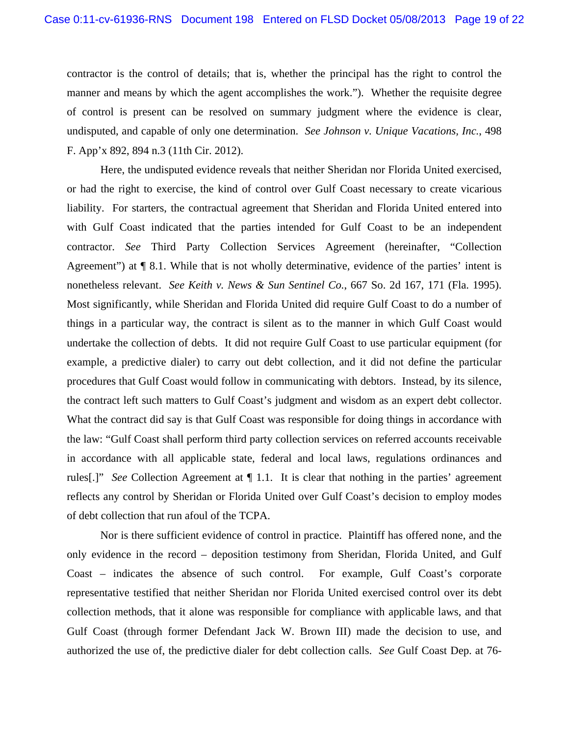contractor is the control of details; that is, whether the principal has the right to control the manner and means by which the agent accomplishes the work."). Whether the requisite degree of control is present can be resolved on summary judgment where the evidence is clear, undisputed, and capable of only one determination. *See Johnson v. Unique Vacations, Inc.*, 498 F. App'x 892, 894 n.3 (11th Cir. 2012).

Here, the undisputed evidence reveals that neither Sheridan nor Florida United exercised, or had the right to exercise, the kind of control over Gulf Coast necessary to create vicarious liability. For starters, the contractual agreement that Sheridan and Florida United entered into with Gulf Coast indicated that the parties intended for Gulf Coast to be an independent contractor. *See* Third Party Collection Services Agreement (hereinafter, "Collection Agreement") at ¶ 8.1. While that is not wholly determinative, evidence of the parties' intent is nonetheless relevant. *See Keith v. News & Sun Sentinel Co.*, 667 So. 2d 167, 171 (Fla. 1995). Most significantly, while Sheridan and Florida United did require Gulf Coast to do a number of things in a particular way, the contract is silent as to the manner in which Gulf Coast would undertake the collection of debts. It did not require Gulf Coast to use particular equipment (for example, a predictive dialer) to carry out debt collection, and it did not define the particular procedures that Gulf Coast would follow in communicating with debtors. Instead, by its silence, the contract left such matters to Gulf Coast's judgment and wisdom as an expert debt collector. What the contract did say is that Gulf Coast was responsible for doing things in accordance with the law: "Gulf Coast shall perform third party collection services on referred accounts receivable in accordance with all applicable state, federal and local laws, regulations ordinances and rules[.]" *See* Collection Agreement at ¶ 1.1. It is clear that nothing in the parties' agreement reflects any control by Sheridan or Florida United over Gulf Coast's decision to employ modes of debt collection that run afoul of the TCPA.

Nor is there sufficient evidence of control in practice. Plaintiff has offered none, and the only evidence in the record – deposition testimony from Sheridan, Florida United, and Gulf Coast – indicates the absence of such control. For example, Gulf Coast's corporate representative testified that neither Sheridan nor Florida United exercised control over its debt collection methods, that it alone was responsible for compliance with applicable laws, and that Gulf Coast (through former Defendant Jack W. Brown III) made the decision to use, and authorized the use of, the predictive dialer for debt collection calls. *See* Gulf Coast Dep. at 76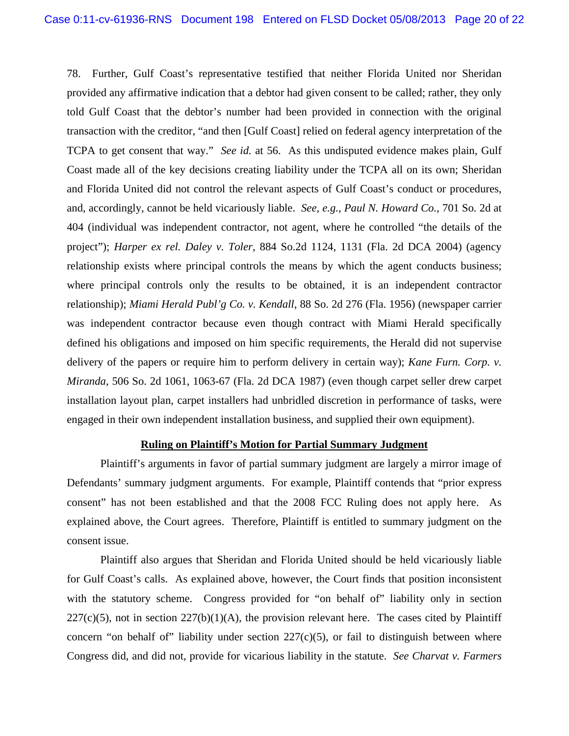78. Further, Gulf Coast's representative testified that neither Florida United nor Sheridan provided any affirmative indication that a debtor had given consent to be called; rather, they only told Gulf Coast that the debtor's number had been provided in connection with the original transaction with the creditor, "and then [Gulf Coast] relied on federal agency interpretation of the TCPA to get consent that way." *See id.* at 56. As this undisputed evidence makes plain, Gulf Coast made all of the key decisions creating liability under the TCPA all on its own; Sheridan and Florida United did not control the relevant aspects of Gulf Coast's conduct or procedures, and, accordingly, cannot be held vicariously liable. *See, e.g.*, *Paul N. Howard Co.*, 701 So. 2d at 404 (individual was independent contractor, not agent, where he controlled "the details of the project"); *Harper ex rel. Daley v. Toler*, 884 So.2d 1124, 1131 (Fla. 2d DCA 2004) (agency relationship exists where principal controls the means by which the agent conducts business; where principal controls only the results to be obtained, it is an independent contractor relationship); *Miami Herald Publ'g Co. v. Kendall*, 88 So. 2d 276 (Fla. 1956) (newspaper carrier was independent contractor because even though contract with Miami Herald specifically defined his obligations and imposed on him specific requirements, the Herald did not supervise delivery of the papers or require him to perform delivery in certain way); *Kane Furn. Corp. v. Miranda*, 506 So. 2d 1061, 1063-67 (Fla. 2d DCA 1987) (even though carpet seller drew carpet installation layout plan, carpet installers had unbridled discretion in performance of tasks, were engaged in their own independent installation business, and supplied their own equipment).

# **Ruling on Plaintiff's Motion for Partial Summary Judgment**

Plaintiff's arguments in favor of partial summary judgment are largely a mirror image of Defendants' summary judgment arguments. For example, Plaintiff contends that "prior express consent" has not been established and that the 2008 FCC Ruling does not apply here. As explained above, the Court agrees. Therefore, Plaintiff is entitled to summary judgment on the consent issue.

Plaintiff also argues that Sheridan and Florida United should be held vicariously liable for Gulf Coast's calls. As explained above, however, the Court finds that position inconsistent with the statutory scheme. Congress provided for "on behalf of" liability only in section  $227(c)(5)$ , not in section  $227(b)(1)(A)$ , the provision relevant here. The cases cited by Plaintiff concern "on behalf of" liability under section  $227(c)(5)$ , or fail to distinguish between where Congress did, and did not, provide for vicarious liability in the statute. *See Charvat v. Farmers*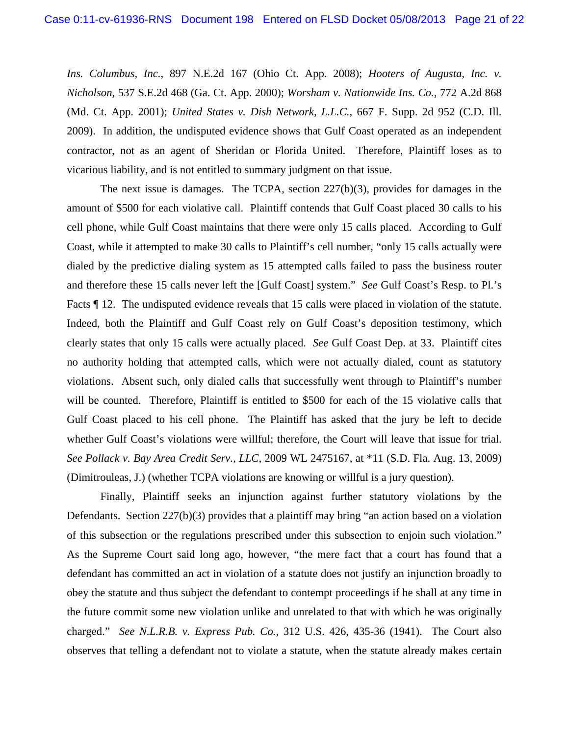*Ins. Columbus, Inc.*, 897 N.E.2d 167 (Ohio Ct. App. 2008); *Hooters of Augusta, Inc. v. Nicholson*, 537 S.E.2d 468 (Ga. Ct. App. 2000); *Worsham v. Nationwide Ins. Co.*, 772 A.2d 868 (Md. Ct. App. 2001); *United States v. Dish Network, L.L.C.*, 667 F. Supp. 2d 952 (C.D. Ill. 2009). In addition, the undisputed evidence shows that Gulf Coast operated as an independent contractor, not as an agent of Sheridan or Florida United. Therefore, Plaintiff loses as to vicarious liability, and is not entitled to summary judgment on that issue.

The next issue is damages. The TCPA, section 227(b)(3), provides for damages in the amount of \$500 for each violative call. Plaintiff contends that Gulf Coast placed 30 calls to his cell phone, while Gulf Coast maintains that there were only 15 calls placed. According to Gulf Coast, while it attempted to make 30 calls to Plaintiff's cell number, "only 15 calls actually were dialed by the predictive dialing system as 15 attempted calls failed to pass the business router and therefore these 15 calls never left the [Gulf Coast] system." *See* Gulf Coast's Resp. to Pl.'s Facts  $\parallel$  12. The undisputed evidence reveals that 15 calls were placed in violation of the statute. Indeed, both the Plaintiff and Gulf Coast rely on Gulf Coast's deposition testimony, which clearly states that only 15 calls were actually placed. *See* Gulf Coast Dep. at 33. Plaintiff cites no authority holding that attempted calls, which were not actually dialed, count as statutory violations. Absent such, only dialed calls that successfully went through to Plaintiff's number will be counted. Therefore, Plaintiff is entitled to \$500 for each of the 15 violative calls that Gulf Coast placed to his cell phone. The Plaintiff has asked that the jury be left to decide whether Gulf Coast's violations were willful; therefore, the Court will leave that issue for trial. *See Pollack v. Bay Area Credit Serv., LLC*, 2009 WL 2475167, at \*11 (S.D. Fla. Aug. 13, 2009) (Dimitrouleas, J.) (whether TCPA violations are knowing or willful is a jury question).

Finally, Plaintiff seeks an injunction against further statutory violations by the Defendants. Section 227(b)(3) provides that a plaintiff may bring "an action based on a violation of this subsection or the regulations prescribed under this subsection to enjoin such violation." As the Supreme Court said long ago, however, "the mere fact that a court has found that a defendant has committed an act in violation of a statute does not justify an injunction broadly to obey the statute and thus subject the defendant to contempt proceedings if he shall at any time in the future commit some new violation unlike and unrelated to that with which he was originally charged." *See N.L.R.B. v. Express Pub. Co.*, 312 U.S. 426, 435-36 (1941). The Court also observes that telling a defendant not to violate a statute, when the statute already makes certain